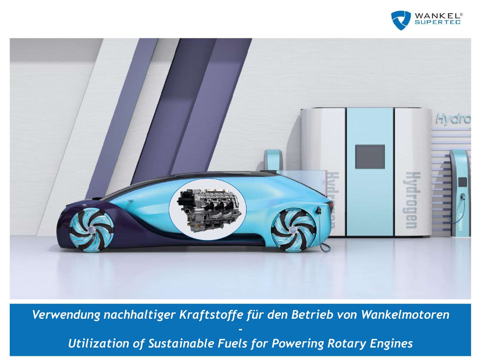



*Verwendung nachhaltiger Kraftstoffe für den Betrieb von Wankelmotoren - Utilization of Sustainable Fuels for Powering Rotary Engines*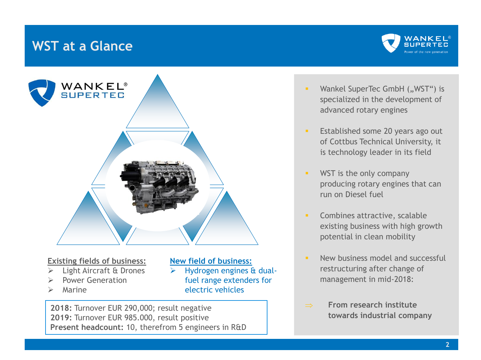## **WST at a Glance**





#### **Existing fields of business:**

- Light Aircraft & Drones
- Power Generation
- ➢ Marine

### **New field of business:** ➢ Hydrogen engines & dualfuel range extenders for electric vehicles

**2018:** Turnover EUR 290,000; result negative **2019:** Turnover EUR 985.000, result positive **Present headcount:** 10, therefrom 5 engineers in R&D

- Wankel SuperTec GmbH ("WST") is specialized in the development of advanced rotary engines
- **Established some 20 years ago out** of Cottbus Technical University, it is technology leader in its field
- **■** WST is the only company producing rotary engines that can run on Diesel fuel
- **EXECOMBINES Attractive, scalable** existing business with high growth potential in clean mobility
- **E** New business model and successful restructuring after change of management in mid-2018:
- **From research institute towards industrial company**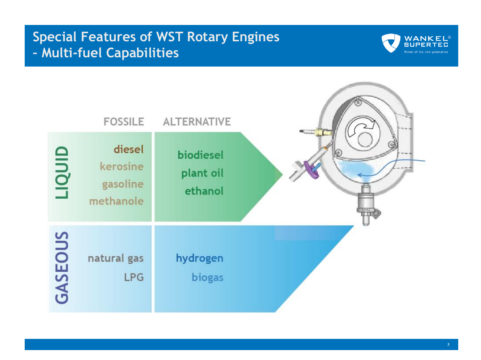# **Special Features of WST Rotary Engines – Multi-fuel Capabilities**



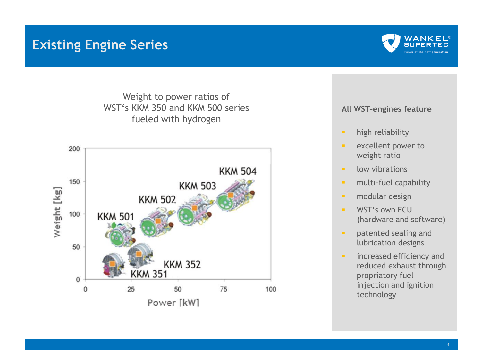## **Existing Engine Series**



Weight to power ratios of WST's KKM 350 and KKM 500 series fueled with hydrogen



#### **All WST-engines feature**

- **·** high reliability
- excellent power to weight ratio
- low vibrations
- **·** multi-fuel capability
- modular design
- **WST's own FCU** (hardware and software)
- **•** patented sealing and lubrication designs
- **·** increased efficiency and reduced exhaust through propriatory fuel injection and ignition technology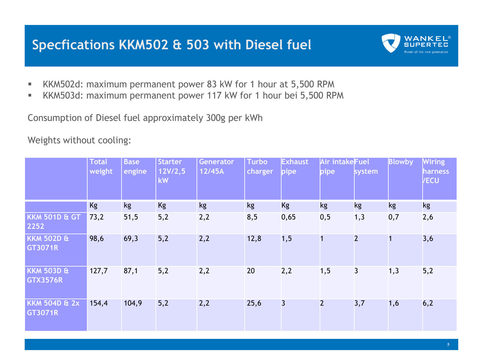## **Specfications KKM502 & 503 with Diesel fuel**



- KKM502d: maximum permanent power 83 kW for 1 hour at 5,500 RPM
- KKM503d: maximum permanent power 117 kW for 1 hour bei 5,500 RPM

Consumption of Diesel fuel approximately 300g per kWh

Weights without cooling:

|                                            | <b>Total</b><br>weight | <b>Base</b><br>engine | <b>Starter</b><br>12V/2,5<br>kW | <b>Generator</b><br>12/45A | <b>Turbo</b><br>charger | <b>Exhaust</b><br>pipe | Air intakeFuel<br>pipe | system                  | <b>Blowby</b> | <b>Wiring</b><br><b>harness</b><br><b>VECU</b> |
|--------------------------------------------|------------------------|-----------------------|---------------------------------|----------------------------|-------------------------|------------------------|------------------------|-------------------------|---------------|------------------------------------------------|
|                                            | <b>Kg</b>              | kg                    | Kg                              | kg                         | kg                      | <b>Kg</b>              | kg                     | kg                      | kg            | kg                                             |
| <b>KKM 501D &amp; GT</b><br>2252           | 73,2                   | 51,5                  | 5,2                             | 2,2                        | 8,5                     | 0,65                   | 0, 5                   | 1,3                     | 0,7           | 2,6                                            |
| <b>KKM 502D &amp;</b><br><b>GT3071R</b>    | 98,6                   | 69,3                  | 5,2                             | 2,2                        | 12,8                    | 1, 5                   | 1                      | $\overline{2}$          | 1             | 3,6                                            |
| <b>KKM 503D &amp;</b><br><b>GTX3576R</b>   | 127,7                  | 87,1                  | 5,2                             | 2,2                        | 20                      | 2,2                    | 1, 5                   | $\overline{\mathbf{3}}$ | 1,3           | 5,2                                            |
| <b>KKM 504D &amp; 2x</b><br><b>GT3071R</b> | 154,4                  | 104,9                 | 5,2                             | 2,2                        | 25,6                    | 3                      | $\overline{2}$         | 3,7                     | 1,6           | 6,2                                            |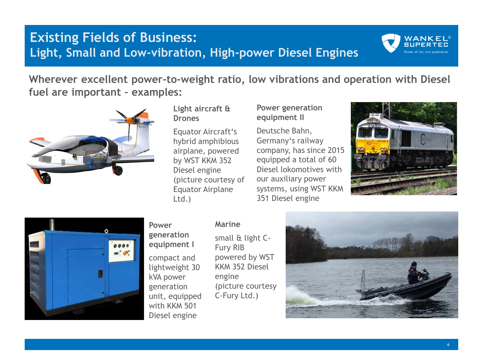## **Existing Fields of Business: Light, Small and Low-vibration, High-power Diesel Engines**



**Wherever excellent power-to-weight ratio, low vibrations and operation with Diesel fuel are important – examples:** 



#### **Light aircraft & Drones**

Equator Aircraft's hybrid amphibious airplane, powered by WST KKM 352 Diesel engine (picture courtesy of Equator Airplane Ltd.)

### **Power generation equipment II**

Deutsche Bahn, Germany's railway company, has since 2015 equipped a total of 60 Diesel lokomotives with our auxiliary power systems, using WST KKM 351 Diesel engine





### **Power**

**generation equipment I** compact and lightweight 30 kVA power generation unit, equipped with KKM 501 Diesel engine

### **Marine**

small & light C-Fury RIB powered by WST KKM 352 Diesel engine (picture courtesy C-Fury Ltd.)

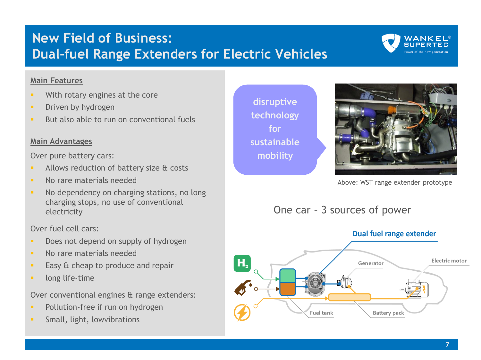# **New Field of Business: Dual-fuel Range Extenders for Electric Vehicles**



### **Main Features**

- With rotary engines at the core
- **•** Driven by hydrogen
- But also able to run on conventional fuels

### **Main Advantages**

Over pure battery cars:

- Allows reduction of battery size & costs
- No rare materials needed
- No dependency on charging stations, no long charging stops, no use of conventional electricity

Over fuel cell cars:

- Does not depend on supply of hydrogen
- **■** No rare materials needed
- Easy & cheap to produce and repair
- **·** long life-time

Over conventional engines & range extenders:

- Pollution-free if run on hydrogen
- Small, light, lowvibrations

**disruptive technology for sustainable mobility**



Above: WST range extender prototype

One car – 3 sources of power

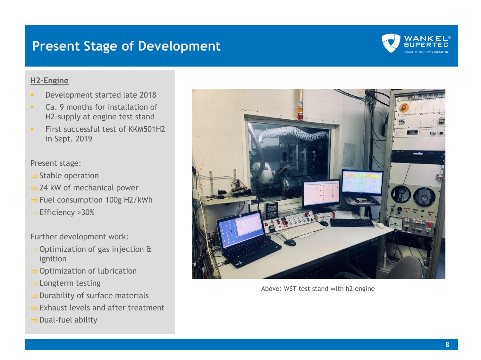## **Present Stage of Development**



#### **H2-Engine**

- Development started late 2018
- Ca. 9 months for installation of H2-supply at engine test stand
- **EXECUTE: First successful test of KKM501H2** in Sept. 2019

Present stage:

- $\Rightarrow$  Stable operation
- $\Rightarrow$  24 kW of mechanical power
- $\Rightarrow$  Fuel consumption 100g H2/kWh
- $\Rightarrow$  Efficiency >30%

Further development work:

- $\Rightarrow$  Optimization of gas injection & ignition
- $\Rightarrow$  Optimization of lubrication
- $\Rightarrow$  Longterm testing
- $\Rightarrow$  Durability of surface materials
- $\Rightarrow$  Exhaust levels and after treatment
- $\Rightarrow$  Dual-fuel ability



Above: WST test stand with h2 engine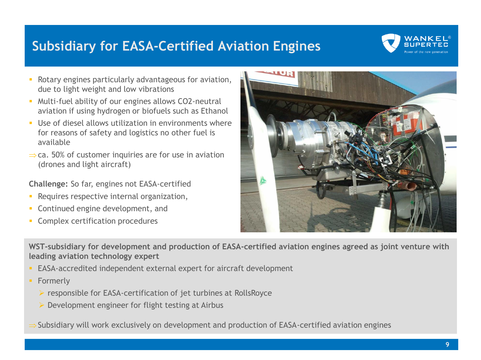# **Subsidiary for EASA-Certified Aviation Engines**



- Rotary engines particularly advantageous for aviation, due to light weight and low vibrations
- Multi-fuel ability of our engines allows CO2-neutral aviation if using hydrogen or biofuels such as Ethanol
- **■** Use of diesel allows utilization in environments where for reasons of safety and logistics no other fuel is available
- $\Rightarrow$  ca. 50% of customer inquiries are for use in aviation (drones and light aircraft)

**Challenge:** So far, engines not EASA-certified

- **EXECUTE:** Requires respective internal organization,
- Continued engine development, and
- **EXECOMPLEX CERTIFICATION PROCEDURES**



**WST-subsidiary for development and production of EASA-certified aviation engines agreed as joint venture with leading aviation technology expert**

- EASA-accredited independent external expert for aircraft development
- **•** Formerly
	- ➢ responsible for EASA-certification of jet turbines at RollsRoyce
	- $\triangleright$  Development engineer for flight testing at Airbus
- Subsidiary will work exclusively on development and production of EASA-certified aviation engines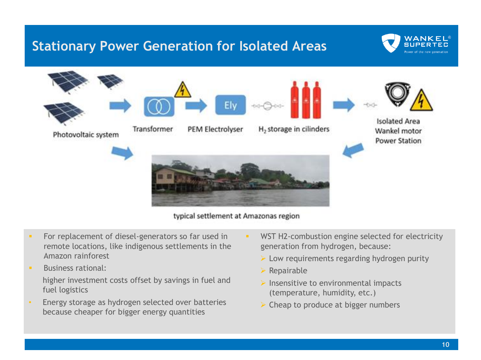## **Stationary Power Generation for Isolated Areas**





typical settlement at Amazonas region

- **EXECT** For replacement of diesel-generators so far used in remote locations, like indigenous settlements in the Amazon rainforest
- **■** Business rational: higher investment costs offset by savings in fuel and fuel logistics
- Energy storage as hydrogen selected over batteries because cheaper for bigger energy quantities
- **EXECTE H2-combustion engine selected for electricity** generation from hydrogen, because:
	- $\triangleright$  Low requirements regarding hydrogen purity
	- ➢ Repairable
	- $\triangleright$  Insensitive to environmental impacts (temperature, humidity, etc.)
	- $\triangleright$  Cheap to produce at bigger numbers